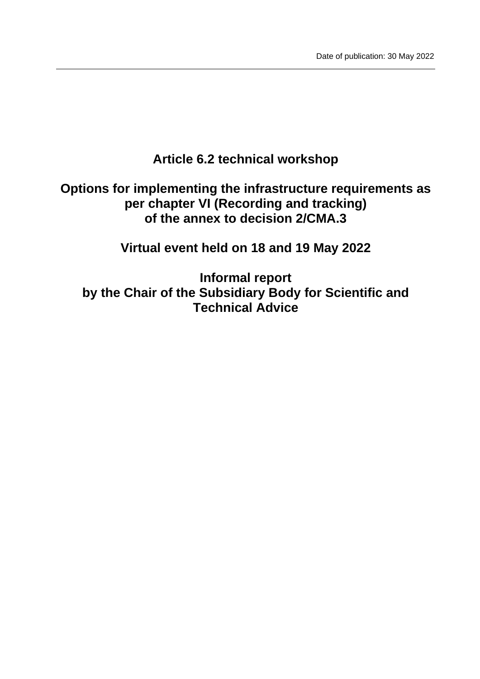# **Article 6.2 technical workshop**

# **Options for implementing the infrastructure requirements as per chapter VI (Recording and tracking) of the annex to decision 2/CMA.3**

**Virtual event held on 18 and 19 May 2022**

**Informal report by the Chair of the Subsidiary Body for Scientific and Technical Advice**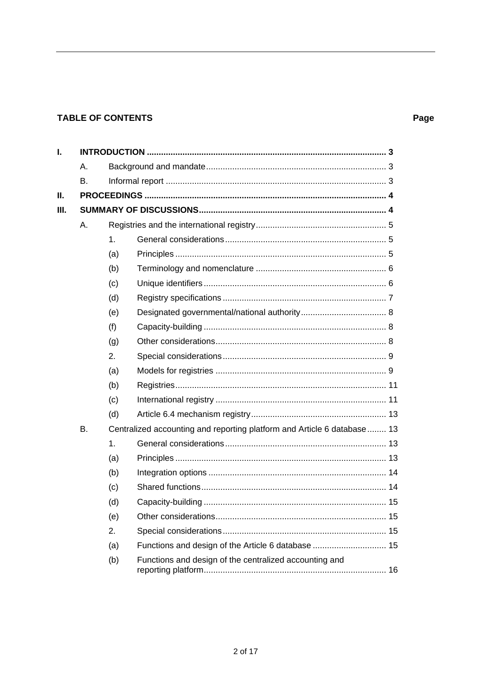## **TABLE OF CONTENTS**

## Page

| Ι.   |    |                                                                          |                                                        |  |
|------|----|--------------------------------------------------------------------------|--------------------------------------------------------|--|
|      | Α. |                                                                          |                                                        |  |
|      | В. |                                                                          |                                                        |  |
| Ш.   |    |                                                                          |                                                        |  |
| III. |    |                                                                          |                                                        |  |
|      | Α. |                                                                          |                                                        |  |
|      |    | 1.                                                                       |                                                        |  |
|      |    | (a)                                                                      |                                                        |  |
|      |    | (b)                                                                      |                                                        |  |
|      |    | (c)                                                                      |                                                        |  |
|      |    | (d)                                                                      |                                                        |  |
|      |    | (e)                                                                      |                                                        |  |
|      |    | (f)                                                                      |                                                        |  |
|      |    | (g)                                                                      |                                                        |  |
|      |    | 2.                                                                       |                                                        |  |
|      |    | (a)                                                                      |                                                        |  |
|      |    | (b)                                                                      |                                                        |  |
|      |    | (c)                                                                      |                                                        |  |
|      |    | (d)                                                                      |                                                        |  |
|      | Β. | Centralized accounting and reporting platform and Article 6 database  13 |                                                        |  |
|      |    | 1.                                                                       |                                                        |  |
|      |    | (a)                                                                      |                                                        |  |
|      |    | (b)                                                                      |                                                        |  |
|      |    | (c)                                                                      |                                                        |  |
|      |    | (d)                                                                      |                                                        |  |
|      |    | (e)                                                                      |                                                        |  |
|      |    | 2.                                                                       |                                                        |  |
|      |    | (a)                                                                      |                                                        |  |
|      |    | (b)                                                                      | Functions and design of the centralized accounting and |  |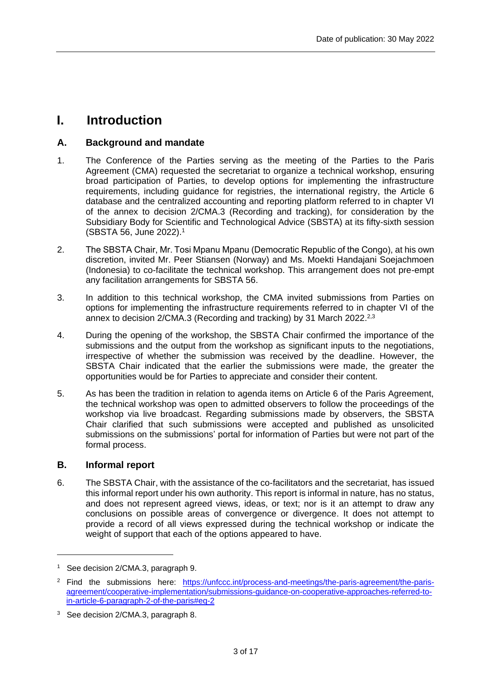# <span id="page-2-0"></span>**I. Introduction**

## <span id="page-2-1"></span>**A. Background and mandate**

- 1. The Conference of the Parties serving as the meeting of the Parties to the Paris Agreement (CMA) requested the secretariat to organize a technical workshop, ensuring broad participation of Parties, to develop options for implementing the infrastructure requirements, including guidance for registries, the international registry, the Article 6 database and the centralized accounting and reporting platform referred to in chapter VI of the annex to decision 2/CMA.3 (Recording and tracking), for consideration by the Subsidiary Body for Scientific and Technological Advice (SBSTA) at its fifty-sixth session (SBSTA 56, June 2022).<sup>1</sup>
- 2. The SBSTA Chair, Mr. Tosi Mpanu Mpanu (Democratic Republic of the Congo), at his own discretion, invited Mr. Peer Stiansen (Norway) and Ms. Moekti Handajani Soejachmoen (Indonesia) to co-facilitate the technical workshop. This arrangement does not pre-empt any facilitation arrangements for SBSTA 56.
- 3. In addition to this technical workshop, the CMA invited submissions from Parties on options for implementing the infrastructure requirements referred to in chapter VI of the annex to decision 2/CMA.3 (Recording and tracking) by 31 March 2022.2,3
- 4. During the opening of the workshop, the SBSTA Chair confirmed the importance of the submissions and the output from the workshop as significant inputs to the negotiations, irrespective of whether the submission was received by the deadline. However, the SBSTA Chair indicated that the earlier the submissions were made, the greater the opportunities would be for Parties to appreciate and consider their content.
- 5. As has been the tradition in relation to agenda items on Article 6 of the Paris Agreement, the technical workshop was open to admitted observers to follow the proceedings of the workshop via live broadcast. Regarding submissions made by observers, the SBSTA Chair clarified that such submissions were accepted and published as unsolicited submissions on the submissions' portal for information of Parties but were not part of the formal process.

## <span id="page-2-2"></span>**B. Informal report**

6. The SBSTA Chair, with the assistance of the co-facilitators and the secretariat, has issued this informal report under his own authority. This report is informal in nature, has no status, and does not represent agreed views, ideas, or text; nor is it an attempt to draw any conclusions on possible areas of convergence or divergence. It does not attempt to provide a record of all views expressed during the technical workshop or indicate the weight of support that each of the options appeared to have.

<sup>&</sup>lt;sup>1</sup> See decision 2/CMA.3, paragraph 9.

<sup>&</sup>lt;sup>2</sup> Find the submissions here: [https://unfccc.int/process-and-meetings/the-paris-agreement/the-paris](https://unfccc.int/process-and-meetings/the-paris-agreement/the-paris-agreement/cooperative-implementation/submissions-guidance-on-cooperative-approaches-referred-to-in-article-6-paragraph-2-of-the-paris#eq-2)[agreement/cooperative-implementation/submissions-guidance-on-cooperative-approaches-referred-to](https://unfccc.int/process-and-meetings/the-paris-agreement/the-paris-agreement/cooperative-implementation/submissions-guidance-on-cooperative-approaches-referred-to-in-article-6-paragraph-2-of-the-paris#eq-2)[in-article-6-paragraph-2-of-the-paris#eq-2](https://unfccc.int/process-and-meetings/the-paris-agreement/the-paris-agreement/cooperative-implementation/submissions-guidance-on-cooperative-approaches-referred-to-in-article-6-paragraph-2-of-the-paris#eq-2)

<sup>&</sup>lt;sup>3</sup> See decision 2/CMA.3, paragraph 8.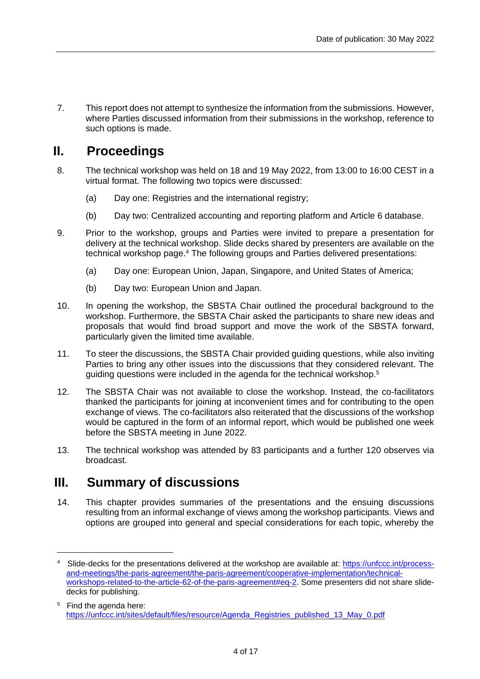7. This report does not attempt to synthesize the information from the submissions. However, where Parties discussed information from their submissions in the workshop, reference to such options is made.

# <span id="page-3-0"></span>**II. Proceedings**

- 8. The technical workshop was held on 18 and 19 May 2022, from 13:00 to 16:00 CEST in a virtual format. The following two topics were discussed:
	- (a) Day one: Registries and the international registry;
	- (b) Day two: Centralized accounting and reporting platform and Article 6 database.
- 9. Prior to the workshop, groups and Parties were invited to prepare a presentation for delivery at the technical workshop. Slide decks shared by presenters are available on the technical workshop page. <sup>4</sup> The following groups and Parties delivered presentations:
	- (a) Day one: European Union, Japan, Singapore, and United States of America;
	- (b) Day two: European Union and Japan.
- 10. In opening the workshop, the SBSTA Chair outlined the procedural background to the workshop. Furthermore, the SBSTA Chair asked the participants to share new ideas and proposals that would find broad support and move the work of the SBSTA forward, particularly given the limited time available.
- 11. To steer the discussions, the SBSTA Chair provided guiding questions, while also inviting Parties to bring any other issues into the discussions that they considered relevant. The guiding questions were included in the agenda for the technical workshop. 5
- 12. The SBSTA Chair was not available to close the workshop. Instead, the co-facilitators thanked the participants for joining at inconvenient times and for contributing to the open exchange of views. The co-facilitators also reiterated that the discussions of the workshop would be captured in the form of an informal report, which would be published one week before the SBSTA meeting in June 2022.
- 13. The technical workshop was attended by 83 participants and a further 120 observes via broadcast.

## <span id="page-3-1"></span>**III. Summary of discussions**

14. This chapter provides summaries of the presentations and the ensuing discussions resulting from an informal exchange of views among the workshop participants. Views and options are grouped into general and special considerations for each topic, whereby the

<sup>4</sup> Slide-decks for the presentations delivered at the workshop are available at: [https://unfccc.int/process](https://unfccc.int/process-and-meetings/the-paris-agreement/the-paris-agreement/cooperative-implementation/technical-workshops-related-to-the-article-62-of-the-paris-agreement#eq-2)[and-meetings/the-paris-agreement/the-paris-agreement/cooperative-implementation/technical](https://unfccc.int/process-and-meetings/the-paris-agreement/the-paris-agreement/cooperative-implementation/technical-workshops-related-to-the-article-62-of-the-paris-agreement#eq-2)[workshops-related-to-the-article-62-of-the-paris-agreement#eq-2.](https://unfccc.int/process-and-meetings/the-paris-agreement/the-paris-agreement/cooperative-implementation/technical-workshops-related-to-the-article-62-of-the-paris-agreement#eq-2) Some presenters did not share slidedecks for publishing.

<sup>&</sup>lt;sup>5</sup> Find the agenda here: [https://unfccc.int/sites/default/files/resource/Agenda\\_Registries\\_published\\_13\\_May\\_0.pdf](https://unfccc.int/sites/default/files/resource/Agenda_Registries_published_13_May_0.pdf)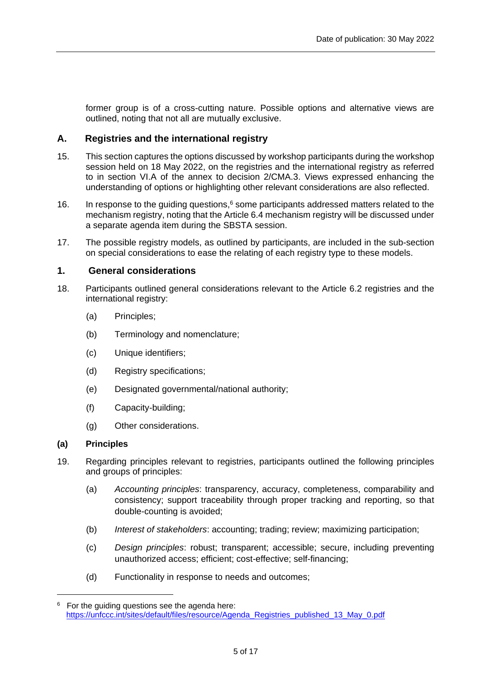<span id="page-4-0"></span>former group is of a cross-cutting nature. Possible options and alternative views are outlined, noting that not all are mutually exclusive.

## **A. Registries and the international registry**

- 15. This section captures the options discussed by workshop participants during the workshop session held on 18 May 2022, on the registries and the international registry as referred to in section VI.A of the annex to decision 2/CMA.3. Views expressed enhancing the understanding of options or highlighting other relevant considerations are also reflected.
- 16. In response to the guiding questions,<sup>6</sup> some participants addressed matters related to the mechanism registry, noting that the Article 6.4 mechanism registry will be discussed under a separate agenda item during the SBSTA session.
- 17. The possible registry models, as outlined by participants, are included in the sub-section on special considerations to ease the relating of each registry type to these models.

## <span id="page-4-1"></span>**1. General considerations**

- 18. Participants outlined general considerations relevant to the Article 6.2 registries and the international registry:
	- (a) Principles;
	- (b) Terminology and nomenclature;
	- (c) Unique identifiers;
	- (d) Registry specifications;
	- (e) Designated governmental/national authority;
	- (f) Capacity-building;
	- (g) Other considerations.

### <span id="page-4-2"></span>**(a) Principles**

- 19. Regarding principles relevant to registries, participants outlined the following principles and groups of principles:
	- (a) *Accounting principles*: transparency, accuracy, completeness, comparability and consistency; support traceability through proper tracking and reporting, so that double-counting is avoided;
	- (b) *Interest of stakeholders*: accounting; trading; review; maximizing participation;
	- (c) *Design principles*: robust; transparent; accessible; secure, including preventing unauthorized access; efficient; cost-effective; self-financing;
	- (d) Functionality in response to needs and outcomes;

 $6$  For the guiding questions see the agenda here: [https://unfccc.int/sites/default/files/resource/Agenda\\_Registries\\_published\\_13\\_May\\_0.pdf](https://unfccc.int/sites/default/files/resource/Agenda_Registries_published_13_May_0.pdf)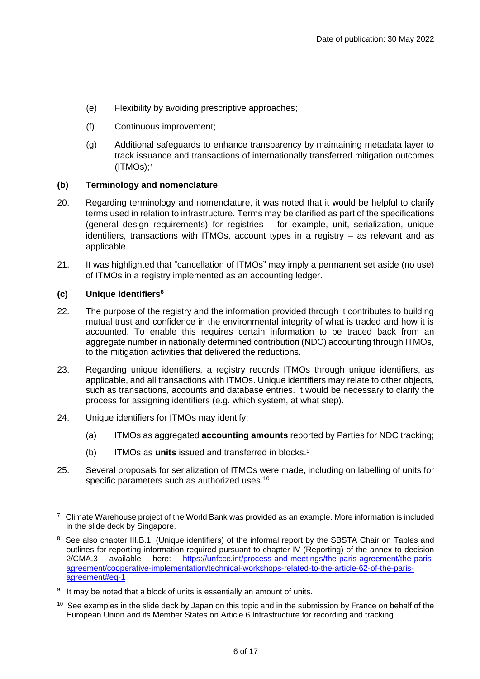- (e) Flexibility by avoiding prescriptive approaches;
- (f) Continuous improvement;
- (g) Additional safeguards to enhance transparency by maintaining metadata layer to track issuance and transactions of internationally transferred mitigation outcomes (ITMOs); 7

## <span id="page-5-0"></span>**(b) Terminology and nomenclature**

- 20. Regarding terminology and nomenclature, it was noted that it would be helpful to clarify terms used in relation to infrastructure. Terms may be clarified as part of the specifications (general design requirements) for registries – for example, unit, serialization, unique identifiers, transactions with ITMOs, account types in a registry – as relevant and as applicable.
- 21. It was highlighted that "cancellation of ITMOs" may imply a permanent set aside (no use) of ITMOs in a registry implemented as an accounting ledger.

## <span id="page-5-1"></span>**(c) Unique identifiers<sup>8</sup>**

- 22. The purpose of the registry and the information provided through it contributes to building mutual trust and confidence in the environmental integrity of what is traded and how it is accounted. To enable this requires certain information to be traced back from an aggregate number in nationally determined contribution (NDC) accounting through ITMOs, to the mitigation activities that delivered the reductions.
- 23. Regarding unique identifiers, a registry records ITMOs through unique identifiers, as applicable, and all transactions with ITMOs. Unique identifiers may relate to other objects, such as transactions, accounts and database entries. It would be necessary to clarify the process for assigning identifiers (e.g. which system, at what step).
- 24. Unique identifiers for ITMOs may identify:
	- (a) ITMOs as aggregated **accounting amounts** reported by Parties for NDC tracking;
	- (b) ITMOs as **units** issued and transferred in blocks. 9
- 25. Several proposals for serialization of ITMOs were made, including on labelling of units for specific parameters such as authorized uses.<sup>10</sup>

 $7$  Climate Warehouse project of the World Bank was provided as an example. More information is included in the slide deck by Singapore.

<sup>&</sup>lt;sup>8</sup> See also chapter III.B.1. (Unique identifiers) of the informal report by the SBSTA Chair on Tables and outlines for reporting information required pursuant to chapter IV (Reporting) of the annex to decision 2/CMA.3 available here: [https://unfccc.int/process-and-meetings/the-paris-agreement/the-paris](https://unfccc.int/process-and-meetings/the-paris-agreement/the-paris-agreement/cooperative-implementation/technical-workshops-related-to-the-article-62-of-the-paris-agreement#eq-1)[agreement/cooperative-implementation/technical-workshops-related-to-the-article-62-of-the-paris](https://unfccc.int/process-and-meetings/the-paris-agreement/the-paris-agreement/cooperative-implementation/technical-workshops-related-to-the-article-62-of-the-paris-agreement#eq-1)[agreement#eq-1](https://unfccc.int/process-and-meetings/the-paris-agreement/the-paris-agreement/cooperative-implementation/technical-workshops-related-to-the-article-62-of-the-paris-agreement#eq-1)

<sup>&</sup>lt;sup>9</sup> It may be noted that a block of units is essentially an amount of units.

<sup>&</sup>lt;sup>10</sup> See examples in the slide deck by Japan on this topic and in the submission by France on behalf of the European Union and its Member States on Article 6 Infrastructure for recording and tracking.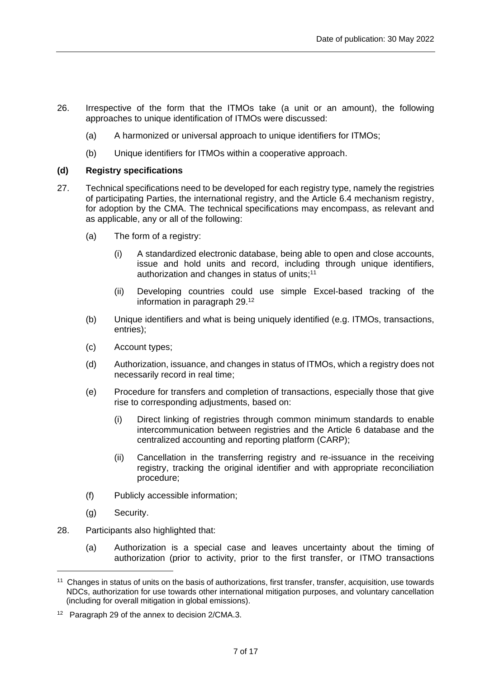- 26. Irrespective of the form that the ITMOs take (a unit or an amount), the following approaches to unique identification of ITMOs were discussed:
	- (a) A harmonized or universal approach to unique identifiers for ITMOs;
	- (b) Unique identifiers for ITMOs within a cooperative approach.

## <span id="page-6-0"></span>**(d) Registry specifications**

- 27. Technical specifications need to be developed for each registry type, namely the registries of participating Parties, the international registry, and the Article 6.4 mechanism registry, for adoption by the CMA. The technical specifications may encompass, as relevant and as applicable, any or all of the following:
	- (a) The form of a registry:
		- (i) A standardized electronic database, being able to open and close accounts, issue and hold units and record, including through unique identifiers, authorization and changes in status of units;<sup>11</sup>
		- (ii) Developing countries could use simple Excel-based tracking of the information in paragraph 29. 12
	- (b) Unique identifiers and what is being uniquely identified (e.g. ITMOs, transactions, entries);
	- (c) Account types;
	- (d) Authorization, issuance, and changes in status of ITMOs, which a registry does not necessarily record in real time;
	- (e) Procedure for transfers and completion of transactions, especially those that give rise to corresponding adjustments, based on:
		- (i) Direct linking of registries through common minimum standards to enable intercommunication between registries and the Article 6 database and the centralized accounting and reporting platform (CARP);
		- (ii) Cancellation in the transferring registry and re-issuance in the receiving registry, tracking the original identifier and with appropriate reconciliation procedure;
	- (f) Publicly accessible information;
	- (g) Security.
- 28. Participants also highlighted that:
	- (a) Authorization is a special case and leaves uncertainty about the timing of authorization (prior to activity, prior to the first transfer, or ITMO transactions

<sup>&</sup>lt;sup>11</sup> Changes in status of units on the basis of authorizations, first transfer, transfer, acquisition, use towards NDCs, authorization for use towards other international mitigation purposes, and voluntary cancellation (including for overall mitigation in global emissions).

<sup>&</sup>lt;sup>12</sup> Paragraph 29 of the annex to decision 2/CMA.3.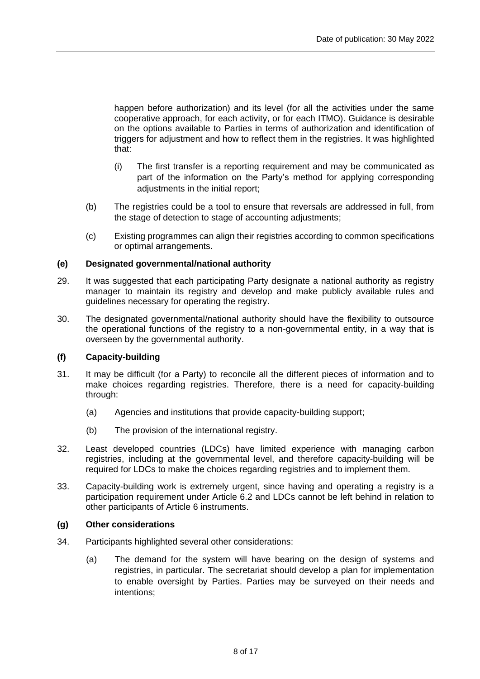happen before authorization) and its level (for all the activities under the same cooperative approach, for each activity, or for each ITMO). Guidance is desirable on the options available to Parties in terms of authorization and identification of triggers for adjustment and how to reflect them in the registries. It was highlighted that:

- (i) The first transfer is a reporting requirement and may be communicated as part of the information on the Party's method for applying corresponding adjustments in the initial report;
- (b) The registries could be a tool to ensure that reversals are addressed in full, from the stage of detection to stage of accounting adjustments;
- (c) Existing programmes can align their registries according to common specifications or optimal arrangements.

## <span id="page-7-0"></span>**(e) Designated governmental/national authority**

- 29. It was suggested that each participating Party designate a national authority as registry manager to maintain its registry and develop and make publicly available rules and guidelines necessary for operating the registry.
- 30. The designated governmental/national authority should have the flexibility to outsource the operational functions of the registry to a non-governmental entity, in a way that is overseen by the governmental authority.

## <span id="page-7-1"></span>**(f) Capacity-building**

- 31. It may be difficult (for a Party) to reconcile all the different pieces of information and to make choices regarding registries. Therefore, there is a need for capacity-building through:
	- (a) Agencies and institutions that provide capacity-building support;
	- (b) The provision of the international registry.
- 32. Least developed countries (LDCs) have limited experience with managing carbon registries, including at the governmental level, and therefore capacity-building will be required for LDCs to make the choices regarding registries and to implement them.
- 33. Capacity-building work is extremely urgent, since having and operating a registry is a participation requirement under Article 6.2 and LDCs cannot be left behind in relation to other participants of Article 6 instruments.

## <span id="page-7-2"></span>**(g) Other considerations**

- 34. Participants highlighted several other considerations:
	- (a) The demand for the system will have bearing on the design of systems and registries, in particular. The secretariat should develop a plan for implementation to enable oversight by Parties. Parties may be surveyed on their needs and intentions;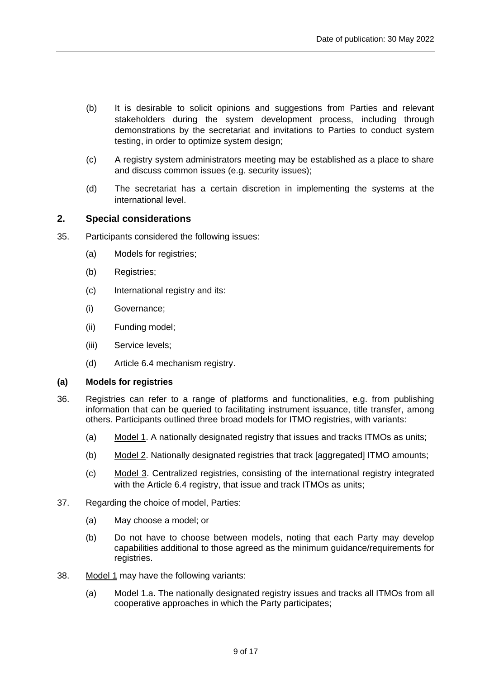- (b) It is desirable to solicit opinions and suggestions from Parties and relevant stakeholders during the system development process, including through demonstrations by the secretariat and invitations to Parties to conduct system testing, in order to optimize system design;
- (c) A registry system administrators meeting may be established as a place to share and discuss common issues (e.g. security issues);
- (d) The secretariat has a certain discretion in implementing the systems at the international level.

## <span id="page-8-0"></span>**2. Special considerations**

- 35. Participants considered the following issues:
	- (a) Models for registries;
	- (b) Registries;
	- (c) International registry and its:
	- (i) Governance;
	- (ii) Funding model;
	- (iii) Service levels;
	- (d) Article 6.4 mechanism registry.

### <span id="page-8-1"></span>**(a) Models for registries**

- 36. Registries can refer to a range of platforms and functionalities, e.g. from publishing information that can be queried to facilitating instrument issuance, title transfer, among others. Participants outlined three broad models for ITMO registries, with variants:
	- (a) Model 1. A nationally designated registry that issues and tracks ITMOs as units;
	- (b) Model 2. Nationally designated registries that track [aggregated] ITMO amounts;
	- (c) Model 3. Centralized registries, consisting of the international registry integrated with the Article 6.4 registry, that issue and track ITMOs as units;
- 37. Regarding the choice of model, Parties:
	- (a) May choose a model; or
	- (b) Do not have to choose between models, noting that each Party may develop capabilities additional to those agreed as the minimum guidance/requirements for registries.
- 38. Model 1 may have the following variants:
	- (a) Model 1.a. The nationally designated registry issues and tracks all ITMOs from all cooperative approaches in which the Party participates;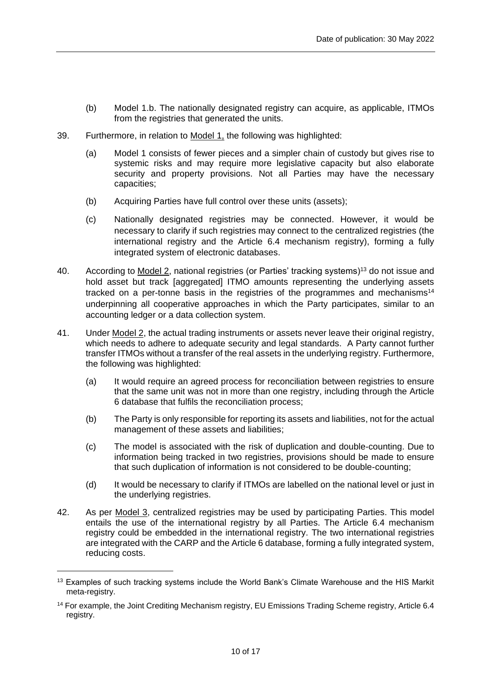- (b) Model 1.b. The nationally designated registry can acquire, as applicable, ITMOs from the registries that generated the units.
- 39. Furthermore, in relation to Model 1, the following was highlighted:
	- (a) Model 1 consists of fewer pieces and a simpler chain of custody but gives rise to systemic risks and may require more legislative capacity but also elaborate security and property provisions. Not all Parties may have the necessary capacities;
	- (b) Acquiring Parties have full control over these units (assets);
	- (c) Nationally designated registries may be connected. However, it would be necessary to clarify if such registries may connect to the centralized registries (the international registry and the Article 6.4 mechanism registry), forming a fully integrated system of electronic databases.
- 40. According to Model 2, national registries (or Parties' tracking systems)<sup>13</sup> do not issue and hold asset but track [aggregated] ITMO amounts representing the underlying assets tracked on a per-tonne basis in the registries of the programmes and mechanisms<sup>14</sup> underpinning all cooperative approaches in which the Party participates, similar to an accounting ledger or a data collection system.
- 41. Under Model 2, the actual trading instruments or assets never leave their original registry, which needs to adhere to adequate security and legal standards. A Party cannot further transfer ITMOs without a transfer of the real assets in the underlying registry. Furthermore, the following was highlighted:
	- (a) It would require an agreed process for reconciliation between registries to ensure that the same unit was not in more than one registry, including through the Article 6 database that fulfils the reconciliation process;
	- (b) The Party is only responsible for reporting its assets and liabilities, not for the actual management of these assets and liabilities;
	- (c) The model is associated with the risk of duplication and double-counting. Due to information being tracked in two registries, provisions should be made to ensure that such duplication of information is not considered to be double-counting;
	- (d) It would be necessary to clarify if ITMOs are labelled on the national level or just in the underlying registries.
- 42. As per Model 3, centralized registries may be used by participating Parties. This model entails the use of the international registry by all Parties. The Article 6.4 mechanism registry could be embedded in the international registry. The two international registries are integrated with the CARP and the Article 6 database, forming a fully integrated system, reducing costs.

<sup>&</sup>lt;sup>13</sup> Examples of such tracking systems include the World Bank's Climate Warehouse and the HIS Markit meta-registry.

<sup>&</sup>lt;sup>14</sup> For example, the Joint Crediting Mechanism registry, EU Emissions Trading Scheme registry, Article 6.4 registry.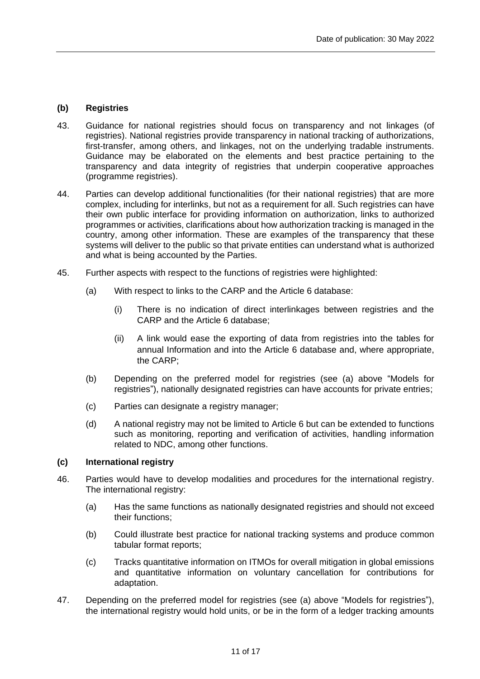## <span id="page-10-0"></span>**(b) Registries**

- 43. Guidance for national registries should focus on transparency and not linkages (of registries). National registries provide transparency in national tracking of authorizations, first-transfer, among others, and linkages, not on the underlying tradable instruments. Guidance may be elaborated on the elements and best practice pertaining to the transparency and data integrity of registries that underpin cooperative approaches (programme registries).
- 44. Parties can develop additional functionalities (for their national registries) that are more complex, including for interlinks, but not as a requirement for all. Such registries can have their own public interface for providing information on authorization, links to authorized programmes or activities, clarifications about how authorization tracking is managed in the country, among other information. These are examples of the transparency that these systems will deliver to the public so that private entities can understand what is authorized and what is being accounted by the Parties.
- 45. Further aspects with respect to the functions of registries were highlighted:
	- (a) With respect to links to the CARP and the Article 6 database:
		- (i) There is no indication of direct interlinkages between registries and the CARP and the Article 6 database;
		- (ii) A link would ease the exporting of data from registries into the tables for annual Information and into the Article 6 database and, where appropriate, the CARP;
	- (b) Depending on the preferred model for registries (see (a) above "Models for registries"), nationally designated registries can have accounts for private entries;
	- (c) Parties can designate a registry manager;
	- (d) A national registry may not be limited to Article 6 but can be extended to functions such as monitoring, reporting and verification of activities, handling information related to NDC, among other functions.

## <span id="page-10-1"></span>**(c) International registry**

- 46. Parties would have to develop modalities and procedures for the international registry. The international registry:
	- (a) Has the same functions as nationally designated registries and should not exceed their functions;
	- (b) Could illustrate best practice for national tracking systems and produce common tabular format reports;
	- (c) Tracks quantitative information on ITMOs for overall mitigation in global emissions and quantitative information on voluntary cancellation for contributions for adaptation.
- 47. Depending on the preferred model for registries (see (a) above "Models for registries"), the international registry would hold units, or be in the form of a ledger tracking amounts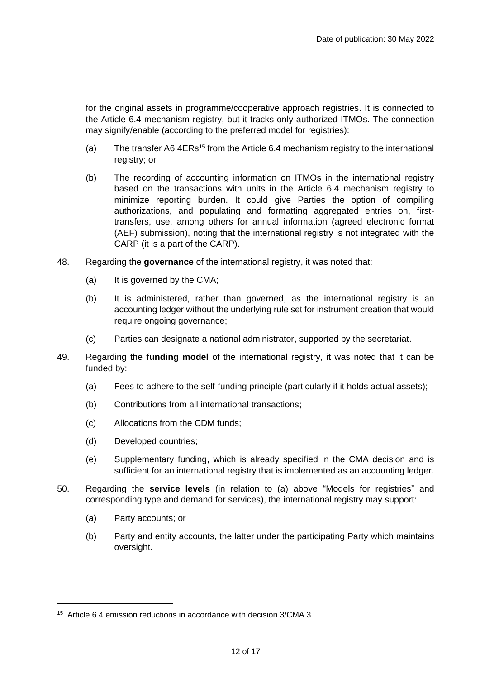for the original assets in programme/cooperative approach registries. It is connected to the Article 6.4 mechanism registry, but it tracks only authorized ITMOs. The connection may signify/enable (according to the preferred model for registries):

- (a) The transfer A6.4ERs<sup>15</sup> from the Article 6.4 mechanism registry to the international registry; or
- (b) The recording of accounting information on ITMOs in the international registry based on the transactions with units in the Article 6.4 mechanism registry to minimize reporting burden. It could give Parties the option of compiling authorizations, and populating and formatting aggregated entries on, firsttransfers, use, among others for annual information (agreed electronic format (AEF) submission), noting that the international registry is not integrated with the CARP (it is a part of the CARP).
- 48. Regarding the **governance** of the international registry, it was noted that:
	- (a) It is governed by the CMA;
	- (b) It is administered, rather than governed, as the international registry is an accounting ledger without the underlying rule set for instrument creation that would require ongoing governance;
	- (c) Parties can designate a national administrator, supported by the secretariat.
- 49. Regarding the **funding model** of the international registry, it was noted that it can be funded by:
	- (a) Fees to adhere to the self-funding principle (particularly if it holds actual assets);
	- (b) Contributions from all international transactions;
	- (c) Allocations from the CDM funds;
	- (d) Developed countries;
	- (e) Supplementary funding, which is already specified in the CMA decision and is sufficient for an international registry that is implemented as an accounting ledger.
- 50. Regarding the **service levels** (in relation to (a) above "Models for registries" and corresponding type and demand for services), the international registry may support:
	- (a) Party accounts; or
	- (b) Party and entity accounts, the latter under the participating Party which maintains oversight.

<sup>&</sup>lt;sup>15</sup> Article 6.4 emission reductions in accordance with decision 3/CMA.3.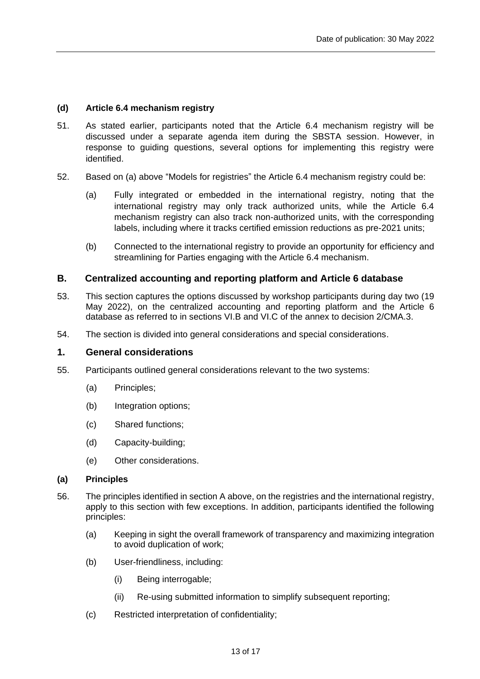## <span id="page-12-0"></span>**(d) Article 6.4 mechanism registry**

- 51. As stated earlier, participants noted that the Article 6.4 mechanism registry will be discussed under a separate agenda item during the SBSTA session. However, in response to guiding questions, several options for implementing this registry were identified.
- 52. Based on (a) above "Models for registries" the Article 6.4 mechanism registry could be:
	- (a) Fully integrated or embedded in the international registry, noting that the international registry may only track authorized units, while the Article 6.4 mechanism registry can also track non-authorized units, with the corresponding labels, including where it tracks certified emission reductions as pre-2021 units;
	- (b) Connected to the international registry to provide an opportunity for efficiency and streamlining for Parties engaging with the Article 6.4 mechanism.

## <span id="page-12-1"></span>**B. Centralized accounting and reporting platform and Article 6 database**

- 53. This section captures the options discussed by workshop participants during day two (19 May 2022), on the centralized accounting and reporting platform and the Article 6 database as referred to in sections VI.B and VI.C of the annex to decision 2/CMA.3.
- 54. The section is divided into general considerations and special considerations.

## <span id="page-12-2"></span>**1. General considerations**

- 55. Participants outlined general considerations relevant to the two systems:
	- (a) Principles;
	- (b) Integration options;
	- (c) Shared functions;
	- (d) Capacity-building;
	- (e) Other considerations.

### <span id="page-12-3"></span>**(a) Principles**

- 56. The principles identified in section A above, on the registries and the international registry, apply to this section with few exceptions. In addition, participants identified the following principles:
	- (a) Keeping in sight the overall framework of transparency and maximizing integration to avoid duplication of work;
	- (b) User-friendliness, including:
		- (i) Being interrogable;
		- (ii) Re-using submitted information to simplify subsequent reporting;
	- (c) Restricted interpretation of confidentiality;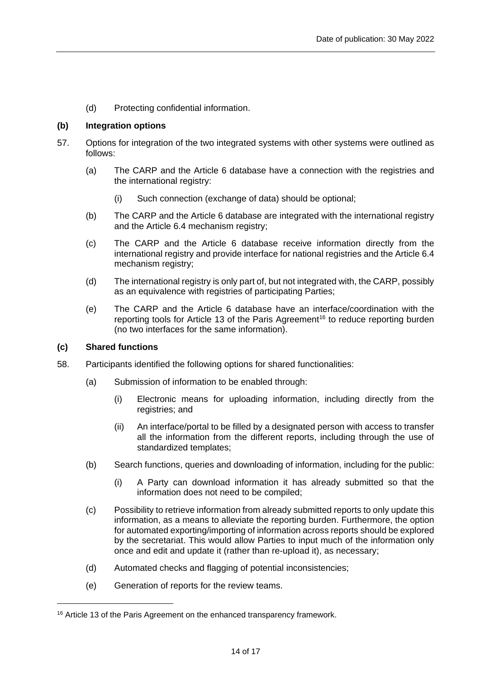(d) Protecting confidential information.

## <span id="page-13-0"></span>**(b) Integration options**

- 57. Options for integration of the two integrated systems with other systems were outlined as follows:
	- (a) The CARP and the Article 6 database have a connection with the registries and the international registry:
		- (i) Such connection (exchange of data) should be optional;
	- (b) The CARP and the Article 6 database are integrated with the international registry and the Article 6.4 mechanism registry;
	- (c) The CARP and the Article 6 database receive information directly from the international registry and provide interface for national registries and the Article 6.4 mechanism registry;
	- (d) The international registry is only part of, but not integrated with, the CARP, possibly as an equivalence with registries of participating Parties;
	- (e) The CARP and the Article 6 database have an interface/coordination with the reporting tools for Article 13 of the Paris Agreement<sup>16</sup> to reduce reporting burden (no two interfaces for the same information).

### <span id="page-13-1"></span>**(c) Shared functions**

- 58. Participants identified the following options for shared functionalities:
	- (a) Submission of information to be enabled through:
		- (i) Electronic means for uploading information, including directly from the registries; and
		- (ii) An interface/portal to be filled by a designated person with access to transfer all the information from the different reports, including through the use of standardized templates;
	- (b) Search functions, queries and downloading of information, including for the public:
		- (i) A Party can download information it has already submitted so that the information does not need to be compiled;
	- (c) Possibility to retrieve information from already submitted reports to only update this information, as a means to alleviate the reporting burden. Furthermore, the option for automated exporting/importing of information across reports should be explored by the secretariat. This would allow Parties to input much of the information only once and edit and update it (rather than re-upload it), as necessary;
	- (d) Automated checks and flagging of potential inconsistencies;
	- (e) Generation of reports for the review teams.

<sup>&</sup>lt;sup>16</sup> Article 13 of the Paris Agreement on the enhanced transparency framework.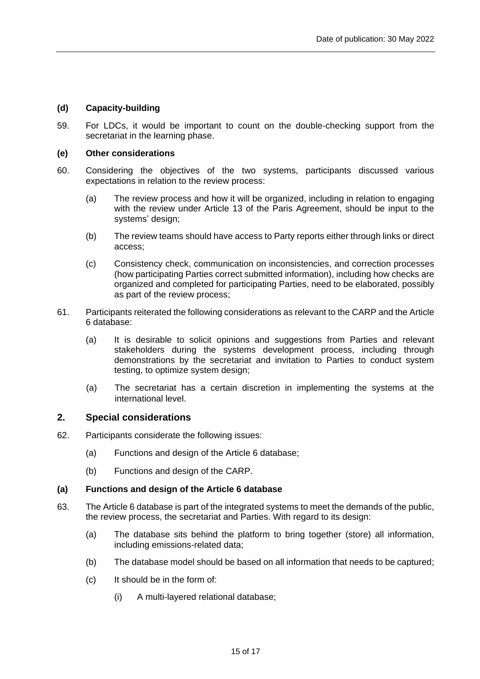## <span id="page-14-0"></span>**(d) Capacity-building**

59. For LDCs, it would be important to count on the double-checking support from the secretariat in the learning phase.

## <span id="page-14-1"></span>**(e) Other considerations**

- 60. Considering the objectives of the two systems, participants discussed various expectations in relation to the review process:
	- (a) The review process and how it will be organized, including in relation to engaging with the review under Article 13 of the Paris Agreement, should be input to the systems' design;
	- (b) The review teams should have access to Party reports either through links or direct access;
	- (c) Consistency check, communication on inconsistencies, and correction processes (how participating Parties correct submitted information), including how checks are organized and completed for participating Parties, need to be elaborated, possibly as part of the review process;
- 61. Participants reiterated the following considerations as relevant to the CARP and the Article 6 database:
	- (a) It is desirable to solicit opinions and suggestions from Parties and relevant stakeholders during the systems development process, including through demonstrations by the secretariat and invitation to Parties to conduct system testing, to optimize system design;
	- (a) The secretariat has a certain discretion in implementing the systems at the international level.

## <span id="page-14-2"></span>**2. Special considerations**

- 62. Participants considerate the following issues:
	- (a) Functions and design of the Article 6 database;
	- (b) Functions and design of the CARP.

### <span id="page-14-3"></span>**(a) Functions and design of the Article 6 database**

- 63. The Article 6 database is part of the integrated systems to meet the demands of the public, the review process, the secretariat and Parties. With regard to its design:
	- (a) The database sits behind the platform to bring together (store) all information, including emissions-related data;
	- (b) The database model should be based on all information that needs to be captured;
	- (c) It should be in the form of:
		- (i) A multi-layered relational database;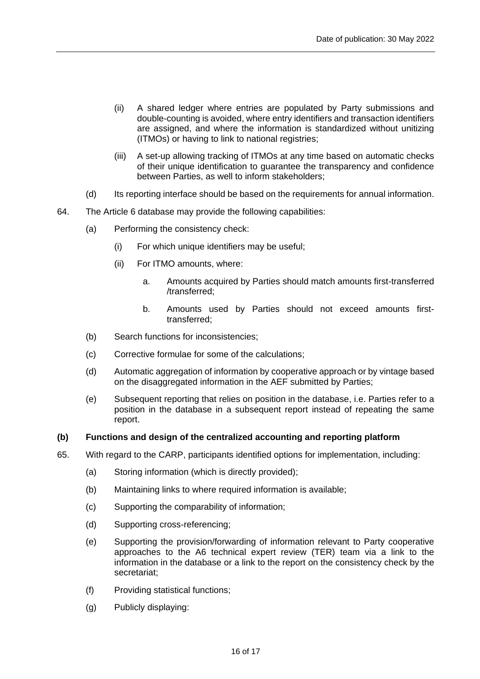- (ii) A shared ledger where entries are populated by Party submissions and double-counting is avoided, where entry identifiers and transaction identifiers are assigned, and where the information is standardized without unitizing (ITMOs) or having to link to national registries;
- (iii) A set-up allowing tracking of ITMOs at any time based on automatic checks of their unique identification to guarantee the transparency and confidence between Parties, as well to inform stakeholders;
- (d) Its reporting interface should be based on the requirements for annual information.
- 64. The Article 6 database may provide the following capabilities:
	- (a) Performing the consistency check:
		- (i) For which unique identifiers may be useful;
		- (ii) For ITMO amounts, where:
			- a. Amounts acquired by Parties should match amounts first-transferred /transferred;
			- b. Amounts used by Parties should not exceed amounts firsttransferred;
	- (b) Search functions for inconsistencies;
	- (c) Corrective formulae for some of the calculations;
	- (d) Automatic aggregation of information by cooperative approach or by vintage based on the disaggregated information in the AEF submitted by Parties;
	- (e) Subsequent reporting that relies on position in the database, i.e. Parties refer to a position in the database in a subsequent report instead of repeating the same report.

### <span id="page-15-0"></span>**(b) Functions and design of the centralized accounting and reporting platform**

- 65. With regard to the CARP, participants identified options for implementation, including:
	- (a) Storing information (which is directly provided);
	- (b) Maintaining links to where required information is available;
	- (c) Supporting the comparability of information;
	- (d) Supporting cross-referencing;
	- (e) Supporting the provision/forwarding of information relevant to Party cooperative approaches to the A6 technical expert review (TER) team via a link to the information in the database or a link to the report on the consistency check by the secretariat;
	- (f) Providing statistical functions;
	- (g) Publicly displaying: